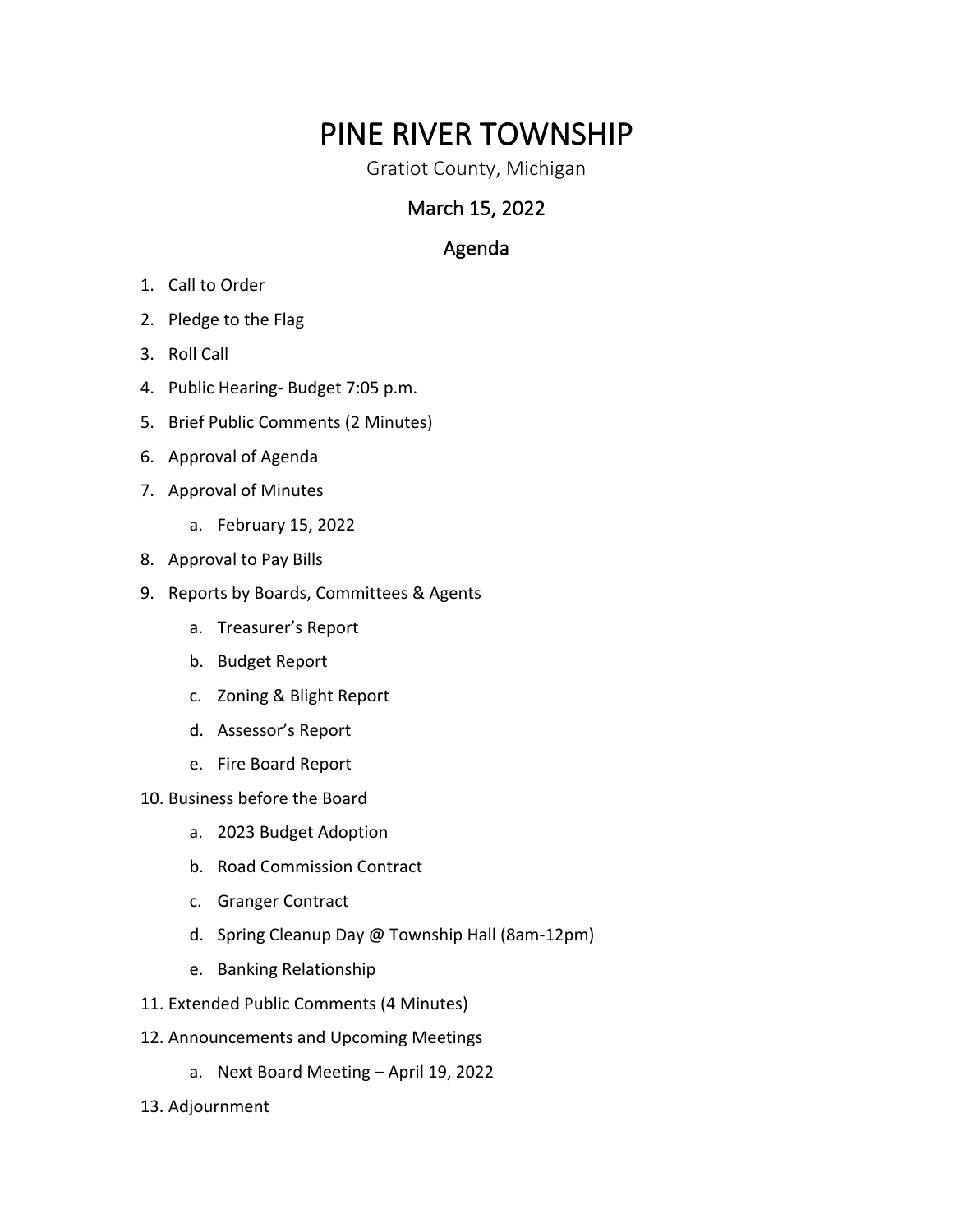# PINE RIVER TOWNSHIP<br>Gratiot County, Michigan

### March 15, 2022

## Agenda

- 1. Call to Order
- 2. Pledge to the Flag
- 3. Roll Call
- 4. Public Hearing- Budget 7:05 p.m.
- 5. Brief Public Comments (2 Minutes)
- 6. Approval of Agenda
- 7. Approval of Minutes
	- a. February 15, 2022
- 8. Approval to Pay Bills
- 9. Reports by Boards, Committees & Agents
	- a. Treasurer's Report
	- b. Budget Report
	- c. Zoning & Blight Report
	- d. Assessor's Report
	- e. Fire Board Report
- 10. Business before the Board
	- a. 2023 Budget Adoption
	- b. Road Commission Contract
	- c. Granger Contract
	- d. Spring Cleanup Day @ Township Hall (8am-12pm)
	- e. Banking Relationship
- 11. Extended Public Comments (4 Minutes)
- 12. Announcements and Upcoming Meetings
	- a. Next Board Meeting April 19, 2022
- 13. Adjournment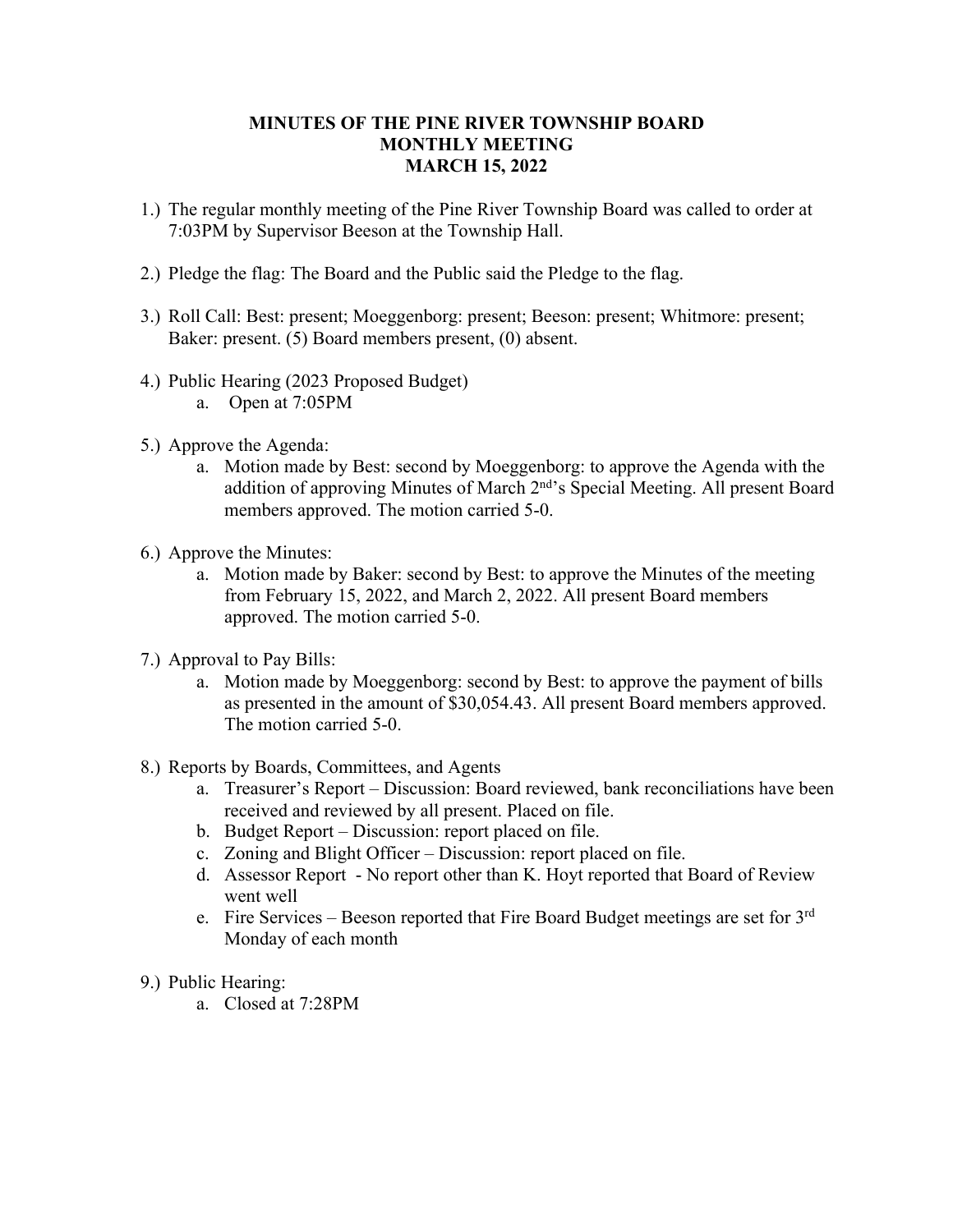#### **MINUTES OF THE PINE RIVER TOWNSHIP BOARD MONTHLY MEETING MARCH 15, 2022**

- 1.) The regular monthly meeting of the Pine River Township Board was called to order at 7:03PM by Supervisor Beeson at the Township Hall.
- 2.) Pledge the flag: The Board and the Public said the Pledge to the flag.
- 3.) Roll Call: Best: present; Moeggenborg: present; Beeson: present; Whitmore: present; Baker: present. (5) Board members present, (0) absent.
- 4.) Public Hearing (2023 Proposed Budget)
	- a. Open at 7:05PM
- 5.) Approve the Agenda:
	- a. Motion made by Best: second by Moeggenborg: to approve the Agenda with the addition of approving Minutes of March 2nd's Special Meeting. All present Board members approved. The motion carried 5-0.
- 6.) Approve the Minutes:
	- a. Motion made by Baker: second by Best: to approve the Minutes of the meeting from February 15, 2022, and March 2, 2022. All present Board members approved. The motion carried 5-0.
- 7.) Approval to Pay Bills:
	- a. Motion made by Moeggenborg: second by Best: to approve the payment of bills as presented in the amount of \$30,054.43. All present Board members approved. The motion carried 5-0.
- 8.) Reports by Boards, Committees, and Agents
	- a. Treasurer's Report Discussion: Board reviewed, bank reconciliations have been received and reviewed by all present. Placed on file.
	- b. Budget Report Discussion: report placed on file.
	- c. Zoning and Blight Officer Discussion: report placed on file.
	- d. Assessor Report No report other than K. Hoyt reported that Board of Review went well
	- e. Fire Services Beeson reported that Fire Board Budget meetings are set for  $3<sup>rd</sup>$ Monday of each month
- 9.) Public Hearing:
	- a. Closed at 7:28PM